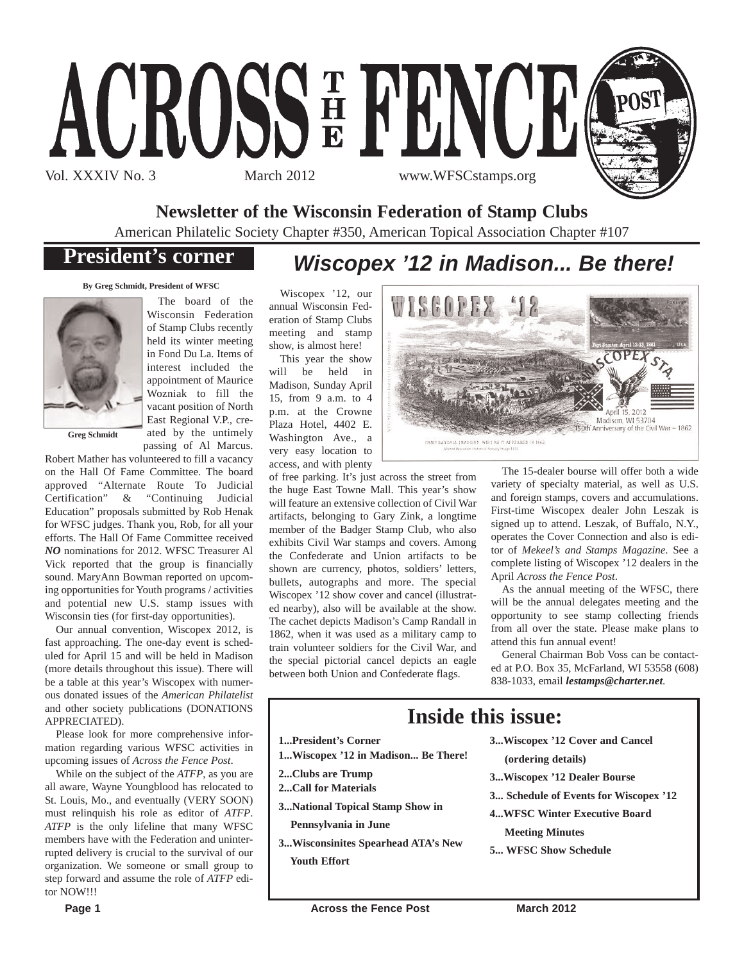

**Newsletter of the Wisconsin Federation of Stamp Clubs**

American Philatelic Society Chapter #350, American Topical Association Chapter #107

# **President's corner**

# *Wiscopex '12 in Madison... Be there!*

**By Greg Schmidt, President of WFSC**



The board of the Wisconsin Federation of Stamp Clubs recently held its winter meeting in Fond Du La. Items of interest included the appointment of Maurice Wozniak to fill the vacant position of North East Regional V.P., created by the untimely passing of Al Marcus.

**Greg Schmidt**

Robert Mather has volunteered to fill a vacancy on the Hall Of Fame Committee. The board approved "Alternate Route To Judicial Certification" & "Continuing Judicial Education" proposals submitted by Rob Henak for WFSC judges. Thank you, Rob, for all your efforts. The Hall Of Fame Committee received *NO* nominations for 2012. WFSC Treasurer Al Vick reported that the group is financially sound. MaryAnn Bowman reported on upcoming opportunities for Youth programs / activities and potential new U.S. stamp issues with Wisconsin ties (for first-day opportunities).

Our annual convention, Wiscopex 2012, is fast approaching. The one-day event is scheduled for April 15 and will be held in Madison (more details throughout this issue). There will be a table at this year's Wiscopex with numerous donated issues of the *American Philatelist* and other society publications (DONATIONS APPRECIATED).

Please look for more comprehensive information regarding various WFSC activities in upcoming issues of *Across the Fence Post*.

While on the subject of the *ATFP*, as you are all aware, Wayne Youngblood has relocated to St. Louis, Mo., and eventually (VERY SOON) must relinquish his role as editor of *ATFP*. *ATFP* is the only lifeline that many WFSC members have with the Federation and uninterrupted delivery is crucial to the survival of our organization. We someone or small group to step forward and assume the role of *ATFP* editor NOW!!!

Wiscopex '12, our annual Wisconsin Federation of Stamp Clubs meeting and stamp show, is almost here!

This year the show will be held in Madison, Sunday April 15, from 9 a.m. to 4 p.m. at the Crowne Plaza Hotel, 4402 E. Washington Ave., a very easy location to access, and with plenty

of free parking. It's just across the street from the huge East Towne Mall. This year's show will feature an extensive collection of Civil War artifacts, belonging to Gary Zink, a longtime member of the Badger Stamp Club, who also exhibits Civil War stamps and covers. Among the Confederate and Union artifacts to be shown are currency, photos, soldiers' letters, bullets, autographs and more. The special Wiscopex '12 show cover and cancel (illustrated nearby), also will be available at the show. The cachet depicts Madison's Camp Randall in 1862, when it was used as a military camp to train volunteer soldiers for the Civil War, and the special pictorial cancel depicts an eagle between both Union and Confederate flags.



The 15-dealer bourse will offer both a wide variety of specialty material, as well as U.S. and foreign stamps, covers and accumulations. First-time Wiscopex dealer John Leszak is signed up to attend. Leszak, of Buffalo, N.Y., operates the Cover Connection and also is editor of *Mekeel's and Stamps Magazine*. See a complete listing of Wiscopex '12 dealers in the April *Across the Fence Post*.

As the annual meeting of the WFSC, there will be the annual delegates meeting and the opportunity to see stamp collecting friends from all over the state. Please make plans to attend this fun annual event!

General Chairman Bob Voss can be contacted at P.O. Box 35, McFarland, WI 53558 (608) 838-1033, email *lestamps@charter.net*.

# **Inside this issue:**

- **1...President's Corner**
- **1...Wiscopex '12 in Madison... Be There!**
- **2...Clubs are Trump**
- **2...Call for Materials**
- **3...National Topical Stamp Show in**
	- **Pennsylvania in June**
- **3...Wisconsinites Spearhead ATA's New Youth Effort**
- **3...Wiscopex '12 Cover and Cancel**
- **(ordering details)**
- **3...Wiscopex '12 Dealer Bourse**
- **3... Schedule of Events for Wiscopex '12**
- **4...WFSC Winter Executive Board**
	- **Meeting Minutes**
- **5... WFSC Show Schedule**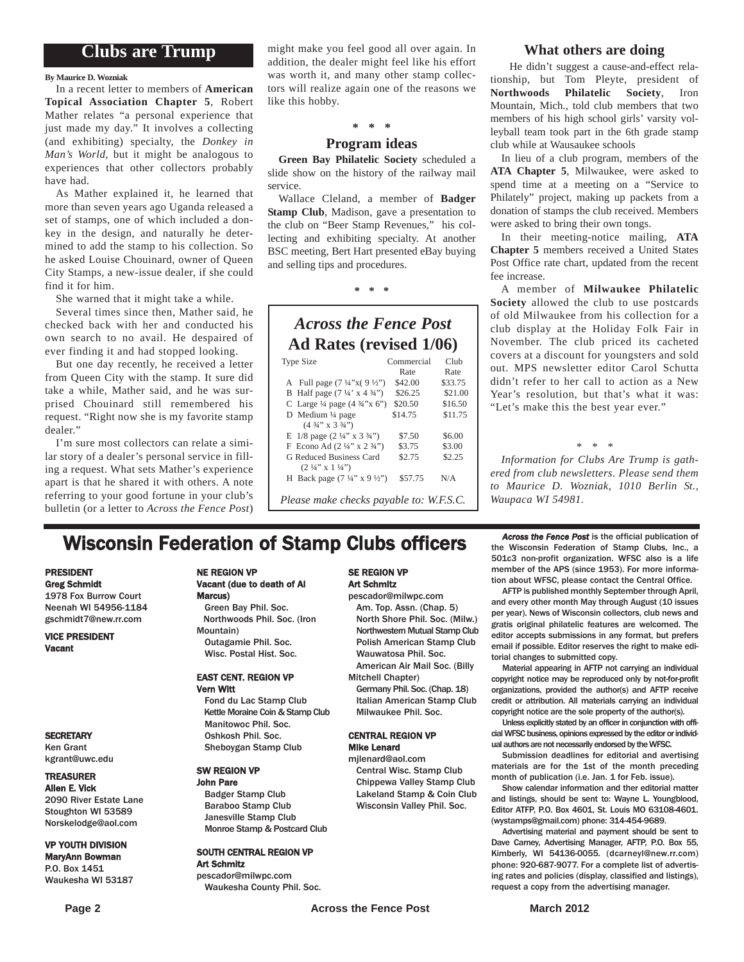### **Clubs are Trump**

### **By Maurice D. Wozniak**

In a recent letter to members of **American Topical Association Chapter 5**, Robert Mather relates "a personal experience that just made my day." It involves a collecting (and exhibiting) specialty, the *Donkey in Man's World*, but it might be analogous to experiences that other collectors probably have had.

As Mather explained it, he learned that more than seven years ago Uganda released a set of stamps, one of which included a donkey in the design, and naturally he determined to add the stamp to his collection. So he asked Louise Chouinard, owner of Queen City Stamps, a new-issue dealer, if she could find it for him.

She warned that it might take a while.

Several times since then, Mather said, he checked back with her and conducted his own search to no avail. He despaired of ever finding it and had stopped looking.

But one day recently, he received a letter from Queen City with the stamp. It sure did take a while, Mather said, and he was surprised Chouinard still remembered his request. "Right now she is my favorite stamp dealer."

I'm sure most collectors can relate a similar story of a dealer's personal service in filling a request. What sets Mather's experience apart is that he shared it with others. A note referring to your good fortune in your club's bulletin (or a letter to *Across the Fence Post*)

might make you feel good all over again. In addition, the dealer might feel like his effort was worth it, and many other stamp collectors will realize again one of the reasons we like this hobby.

### **\* \* \***

### **Program ideas**

**Green Bay Philatelic Society** scheduled a slide show on the history of the railway mail service.

Wallace Cleland, a member of **Badger Stamp Club**, Madison, gave a presentation to the club on "Beer Stamp Revenues," his collecting and exhibiting specialty. At another BSC meeting, Bert Hart presented eBay buying and selling tips and procedures.

**\* \* \***

### *Across the Fence Post* **Ad Rates (revised 1/06)**

| <b>Type Size</b>                                   | Commercial | Club    |
|----------------------------------------------------|------------|---------|
|                                                    | Rate       | Rate    |
| A Full page $(7\frac{1}{4}x)(9\frac{1}{2}y)$       | \$42.00    | \$33.75 |
| B Half page $(7\frac{1}{4} \times 4\frac{3}{4})$   | \$26.25    | \$21.00 |
| C Large $\frac{1}{4}$ page $(4 \frac{3}{4}$ "x 6") | \$20.50    | \$16.50 |
| D Medium 1/4 page                                  | \$14.75    | \$11.75 |
| $(4\frac{3}{4}$ " x 3 $\frac{3}{4}$ ")             |            |         |
| E $1/8$ page $(2\frac{1}{4}$ " x $3\frac{3}{4}$ ") | \$7.50     | \$6.00  |
| F Econo Ad $(2\frac{1}{4}$ " x $2\frac{3}{4}$ ")   | \$3.75     | \$3.00  |
| G Reduced Business Card                            | \$2.75     | \$2.25  |
| $(2\frac{1}{4}$ " x $1\frac{1}{4}$ ")              |            |         |
| H Back page $(7\frac{1}{4}$ " x 9 $\frac{1}{2}$ ") | \$57.75    | N/A     |
|                                                    |            |         |

*Please make checks payable to: W.F.S.C.*

### **What others are doing**

He didn't suggest a cause-and-effect relationship, but Tom Pleyte, president of **Northwoods Philatelic Society**, Iron Mountain, Mich., told club members that two members of his high school girls' varsity volleyball team took part in the 6th grade stamp club while at Wausaukee schools

In lieu of a club program, members of the **ATA Chapter 5**, Milwaukee, were asked to spend time at a meeting on a "Service to Philately" project, making up packets from a donation of stamps the club received. Members were asked to bring their own tongs.

In their meeting-notice mailing, **ATA Chapter 5** members received a United States Post Office rate chart, updated from the recent fee increase.

A member of **Milwaukee Philatelic Society** allowed the club to use postcards of old Milwaukee from his collection for a club display at the Holiday Folk Fair in November. The club priced its cacheted covers at a discount for youngsters and sold out. MPS newsletter editor Carol Schutta didn't refer to her call to action as a New Year's resolution, but that's what it was: "Let's make this the best year ever."

*\* \* \**

*Information for Clubs Are Trump is gathered from club newsletters. Please send them to Maurice D. Wozniak, 1010 Berlin St., Waupaca WI 54981.*

# **Wisconsin Federation of Stamp Clubs officers** *Across the Fence Post* is the official publication of stamp Clubs, Inc., a

### PRESIDENT Greg Schmidt

1978 Fox Burrow Court Neenah WI 54956-1184 gschmidt7@new.rr.com

VICE PRESIDENT Vacant

#### **SECRETARY**

Ken Grant kgrant@uwc.edu

### TREASURER

Allen E. Vick 2090 River Estate Lane Stoughton WI 53589 Norskelodge@aol.com

#### VP YOUTH DIVISION MaryAnn Bowman

P.O. Box 1451 Waukesha WI 53187

### NE REGION VP Vacant (due to death of Al

Marcus) Green Bay Phil. Soc. Northwoods Phil. Soc. (Iron Mountain) Outagamie Phil. Soc. Wisc. Postal Hist. Soc.

### EAST CENT. REGION VP Vern Witt

Fond du Lac Stamp Club Kettle Moraine Coin & Stamp Club Manitowoc Phil. Soc. Oshkosh Phil. Soc. Sheboygan Stamp Club

#### SW REGION VP John Pare

Badger Stamp Club Baraboo Stamp Club Janesville Stamp Club Monroe Stamp & Postcard Club

#### SOUTH CENTRAL REGION VP Art Schmitz

pescador@milwpc.com Waukesha County Phil. Soc.

### SE REGION VP Art Schmitz

pescador@milwpc.com Am. Top. Assn. (Chap. 5) North Shore Phil. Soc. (Milw.) Northwestern Mutual Stamp Club Polish American Stamp Club Wauwatosa Phil. Soc. American Air Mail Soc. (Billy

Mitchell Chapter) Germany Phil. Soc. (Chap. 18)

Italian American Stamp Club Milwaukee Phil. Soc.

### CENTRAL REGION VP Mike Lenard

mjlenard@aol.com Central Wisc. Stamp Club Chippewa Valley Stamp Club Lakeland Stamp & Coin Club Wisconsin Valley Phil. Soc.

the Wisconsin Federation of Stamp Clubs, Inc., a 501c3 non-profit organization. WFSC also is a life member of the APS (since 1953). For more information about WFSC, please contact the Central Office.

AFTP is published monthly September through April, and every other month May through August (10 issues per year). News of Wisconsin collectors, club news and gratis original philatelic features are welcomed. The editor accepts submissions in any format, but prefers email if possible. Editor reserves the right to make editorial changes to submitted copy.

Material appearing in AFTP not carrying an individual copyright notice may be reproduced only by not-for-profit organizations, provided the author(s) and AFTP receive credit or attribution. All materials carrying an individual copyright notice are the sole property of the author(s).

Unless explicitly stated by an officer in conjunction with official WFSC business, opinions expressed by the editor or individual authors are not necessarily endorsed by the WFSC.

Submission deadlines for editorial and avertising materials are for the 1st of the month preceding month of publication (i.e. Jan. 1 for Feb. issue).

Show calendar information and ther editorial matter and listings, should be sent to: Wayne L. Youngblood, Editor ATFP, P.O. Box 4601, St. Louis MO 63108-4601. (wystamps@gmail.com) phone: 314-454-9689.

Advertising material and payment should be sent to Dave Carney, Advertising Manager, AFTP, P.O. Box 55, Kimberly, WI 54136-0055. (dcarneyl@new.rr.com) phone: 920-687-9077. For a complete list of advertising rates and policies (display, classified and listings), request a copy from the advertising manager.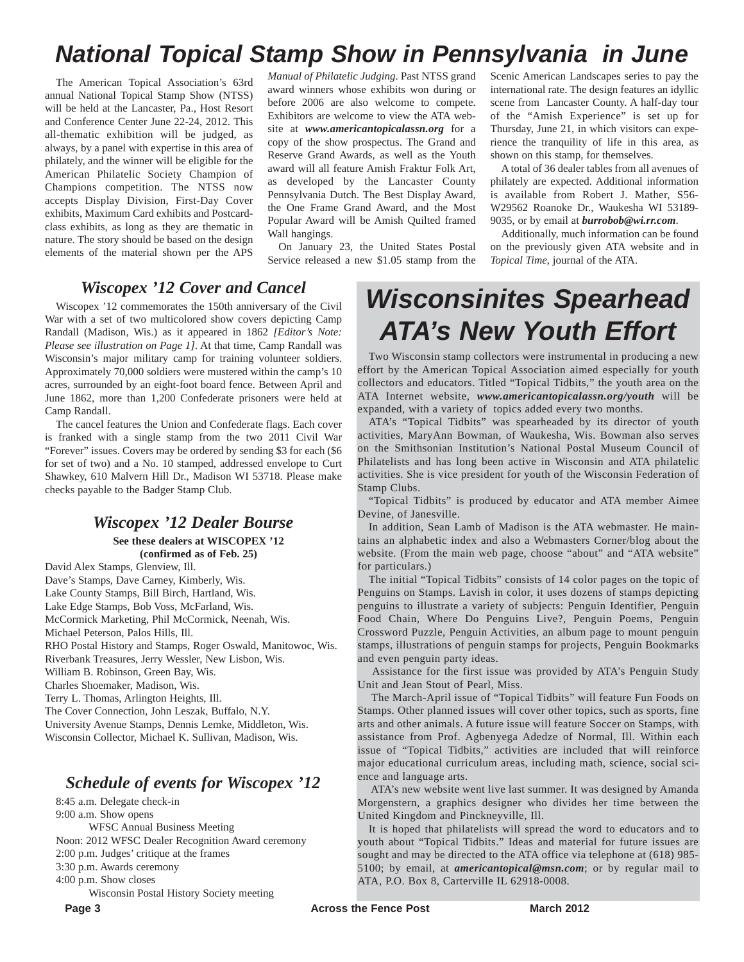# *National Topical Stamp Show in Pennsylvania in June*

The American Topical Association's 63rd annual National Topical Stamp Show (NTSS) will be held at the Lancaster, Pa., Host Resort and Conference Center June 22-24, 2012. This all-thematic exhibition will be judged, as always, by a panel with expertise in this area of philately, and the winner will be eligible for the American Philatelic Society Champion of Champions competition. The NTSS now accepts Display Division, First-Day Cover exhibits, Maximum Card exhibits and Postcardclass exhibits, as long as they are thematic in nature. The story should be based on the design elements of the material shown per the APS

*Manual of Philatelic Judging*. Past NTSS grand award winners whose exhibits won during or before 2006 are also welcome to compete. Exhibitors are welcome to view the ATA website at *www.americantopicalassn.org* for a copy of the show prospectus. The Grand and Reserve Grand Awards, as well as the Youth award will all feature Amish Fraktur Folk Art, as developed by the Lancaster County Pennsylvania Dutch. The Best Display Award, the One Frame Grand Award, and the Most Popular Award will be Amish Quilted framed Wall hangings.

On January 23, the United States Postal Service released a new \$1.05 stamp from the Scenic American Landscapes series to pay the international rate. The design features an idyllic scene from Lancaster County. A half-day tour of the "Amish Experience" is set up for Thursday, June 21, in which visitors can experience the tranquility of life in this area, as shown on this stamp, for themselves.

A total of 36 dealer tables from all avenues of philately are expected. Additional information is available from Robert J. Mather, S56- W29562 Roanoke Dr., Waukesha WI 53189- 9035, or by email at *burrobob@wi.rr.com*.

Additionally, much information can be found on the previously given ATA website and in *Topical Time*, journal of the ATA.

### *Wiscopex '12 Cover and Cancel*

Wiscopex '12 commemorates the 150th anniversary of the Civil War with a set of two multicolored show covers depicting Camp Randall (Madison, Wis.) as it appeared in 1862 *[Editor's Note: Please see illustration on Page 1]*. At that time, Camp Randall was Wisconsin's major military camp for training volunteer soldiers. Approximately 70,000 soldiers were mustered within the camp's 10 acres, surrounded by an eight-foot board fence. Between April and June 1862, more than 1,200 Confederate prisoners were held at Camp Randall.

The cancel features the Union and Confederate flags. Each cover is franked with a single stamp from the two 2011 Civil War "Forever" issues. Covers may be ordered by sending \$3 for each (\$6 for set of two) and a No. 10 stamped, addressed envelope to Curt Shawkey, 610 Malvern Hill Dr., Madison WI 53718. Please make checks payable to the Badger Stamp Club.

### *Wiscopex '12 Dealer Bourse*

**See these dealers at WISCOPEX '12 (confirmed as of Feb. 25)** 

David Alex Stamps, Glenview, Ill. Dave's Stamps, Dave Carney, Kimberly, Wis. Lake County Stamps, Bill Birch, Hartland, Wis. Lake Edge Stamps, Bob Voss, McFarland, Wis. McCormick Marketing, Phil McCormick, Neenah, Wis. Michael Peterson, Palos Hills, Ill. RHO Postal History and Stamps, Roger Oswald, Manitowoc, Wis. Riverbank Treasures, Jerry Wessler, New Lisbon, Wis. William B. Robinson, Green Bay, Wis. Charles Shoemaker, Madison, Wis. Terry L. Thomas, Arlington Heights, Ill. The Cover Connection, John Leszak, Buffalo, N.Y. University Avenue Stamps, Dennis Lemke, Middleton, Wis. Wisconsin Collector, Michael K. Sullivan, Madison, Wis.

### *Schedule of events for Wiscopex '12*

8:45 a.m. Delegate check-in 9:00 a.m. Show opens

WFSC Annual Business Meeting

Noon: 2012 WFSC Dealer Recognition Award ceremony

2:00 p.m. Judges' critique at the frames

3:30 p.m. Awards ceremony

4:00 p.m. Show closes

Wisconsin Postal History Society meeting

### **Page 3** March 2012

# *Wisconsinites Spearhead ATA's New Youth Effort*

Two Wisconsin stamp collectors were instrumental in producing a new effort by the American Topical Association aimed especially for youth collectors and educators. Titled "Topical Tidbits," the youth area on the ATA Internet website, *www.americantopicalassn.org/youth* will be expanded, with a variety of topics added every two months.

ATA's "Topical Tidbits" was spearheaded by its director of youth activities, MaryAnn Bowman, of Waukesha, Wis. Bowman also serves on the Smithsonian Institution's National Postal Museum Council of Philatelists and has long been active in Wisconsin and ATA philatelic activities. She is vice president for youth of the Wisconsin Federation of Stamp Clubs.

"Topical Tidbits" is produced by educator and ATA member Aimee Devine, of Janesville.

In addition, Sean Lamb of Madison is the ATA webmaster. He maintains an alphabetic index and also a Webmasters Corner/blog about the website. (From the main web page, choose "about" and "ATA website" for particulars.)

The initial "Topical Tidbits" consists of 14 color pages on the topic of Penguins on Stamps. Lavish in color, it uses dozens of stamps depicting penguins to illustrate a variety of subjects: Penguin Identifier, Penguin Food Chain, Where Do Penguins Live?, Penguin Poems, Penguin Crossword Puzzle, Penguin Activities, an album page to mount penguin stamps, illustrations of penguin stamps for projects, Penguin Bookmarks and even penguin party ideas.

Assistance for the first issue was provided by ATA's Penguin Study Unit and Jean Stout of Pearl, Miss.

The March-April issue of "Topical Tidbits" will feature Fun Foods on Stamps. Other planned issues will cover other topics, such as sports, fine arts and other animals. A future issue will feature Soccer on Stamps, with assistance from Prof. Agbenyega Adedze of Normal, Ill. Within each issue of "Topical Tidbits," activities are included that will reinforce major educational curriculum areas, including math, science, social science and language arts.

ATA's new website went live last summer. It was designed by Amanda Morgenstern, a graphics designer who divides her time between the United Kingdom and Pinckneyville, Ill.

It is hoped that philatelists will spread the word to educators and to youth about "Topical Tidbits." Ideas and material for future issues are sought and may be directed to the ATA office via telephone at (618) 985- 5100; by email, at *americantopical@msn.com*; or by regular mail to ATA, P.O. Box 8, Carterville IL 62918-0008.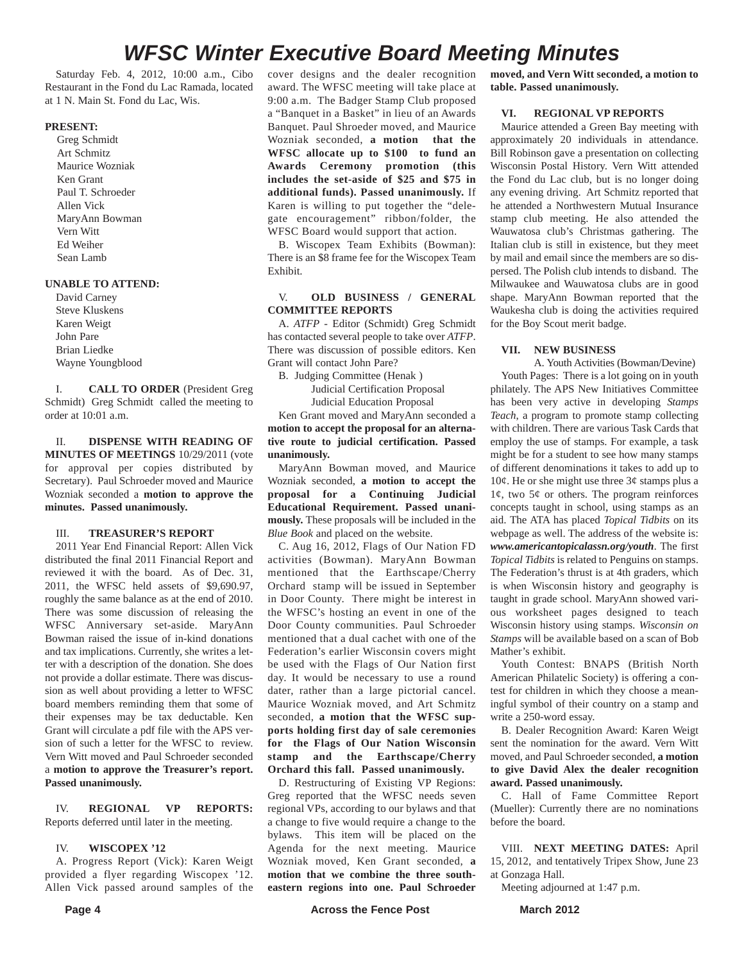# *WFSC Winter Executive Board Meeting Minutes*

Saturday Feb. 4, 2012, 10:00 a.m., Cibo Restaurant in the Fond du Lac Ramada, located at 1 N. Main St. Fond du Lac, Wis.

### **PRESENT:**

Greg Schmidt Art Schmitz Maurice Wozniak Ken Grant Paul T. Schroeder Allen Vick MaryAnn Bowman Vern Witt Ed Weiher Sean Lamb

### **UNABLE TO ATTEND:**

David Carney Steve Kluskens Karen Weigt John Pare Brian Liedke Wayne Youngblood

I. **CALL TO ORDER** (President Greg Schmidt) Greg Schmidt called the meeting to order at 10:01 a.m.

II. **DISPENSE WITH READING OF MINUTES OF MEETINGS** 10/29/2011 (vote for approval per copies distributed by Secretary). Paul Schroeder moved and Maurice Wozniak seconded a **motion to approve the minutes. Passed unanimously.**

### III. **TREASURER'S REPORT**

2011 Year End Financial Report: Allen Vick distributed the final 2011 Financial Report and reviewed it with the board. As of Dec. 31, 2011, the WFSC held assets of \$9,690.97, roughly the same balance as at the end of 2010. There was some discussion of releasing the WFSC Anniversary set-aside. MaryAnn Bowman raised the issue of in-kind donations and tax implications. Currently, she writes a letter with a description of the donation. She does not provide a dollar estimate. There was discussion as well about providing a letter to WFSC board members reminding them that some of their expenses may be tax deductable. Ken Grant will circulate a pdf file with the APS version of such a letter for the WFSC to review. Vern Witt moved and Paul Schroeder seconded a **motion to approve the Treasurer's report. Passed unanimously.**

IV. **REGIONAL VP REPORTS:** Reports deferred until later in the meeting.

### IV. **WISCOPEX '12**

A. Progress Report (Vick): Karen Weigt provided a flyer regarding Wiscopex '12. Allen Vick passed around samples of the cover designs and the dealer recognition award. The WFSC meeting will take place at 9:00 a.m. The Badger Stamp Club proposed a "Banquet in a Basket" in lieu of an Awards Banquet. Paul Shroeder moved, and Maurice Wozniak seconded, **a motion that the WFSC allocate up to \$100 to fund an Awards Ceremony promotion (this includes the set-aside of \$25 and \$75 in additional funds). Passed unanimously.** If Karen is willing to put together the "delegate encouragement" ribbon/folder, the WFSC Board would support that action.

B. Wiscopex Team Exhibits (Bowman): There is an \$8 frame fee for the Wiscopex Team Exhibit.

### V. **OLD BUSINESS / GENERAL COMMITTEE REPORTS**

A. *ATFP* - Editor (Schmidt) Greg Schmidt has contacted several people to take over *ATFP*. There was discussion of possible editors. Ken Grant will contact John Pare?

B. Judging Committee (Henak ) Judicial Certification Proposal

Judicial Education Proposal Ken Grant moved and MaryAnn seconded a **motion to accept the proposal for an alternative route to judicial certification. Passed unanimously.**

MaryAnn Bowman moved, and Maurice Wozniak seconded, **a motion to accept the proposal for a Continuing Judicial Educational Requirement. Passed unanimously.** These proposals will be included in the *Blue Book* and placed on the website.

C. Aug 16, 2012, Flags of Our Nation FD activities (Bowman). MaryAnn Bowman mentioned that the Earthscape/Cherry Orchard stamp will be issued in September in Door County. There might be interest in the WFSC's hosting an event in one of the Door County communities. Paul Schroeder mentioned that a dual cachet with one of the Federation's earlier Wisconsin covers might be used with the Flags of Our Nation first day. It would be necessary to use a round dater, rather than a large pictorial cancel. Maurice Wozniak moved, and Art Schmitz seconded, **a motion that the WFSC supports holding first day of sale ceremonies for the Flags of Our Nation Wisconsin stamp and the Earthscape/Cherry Orchard this fall. Passed unanimously.**

D. Restructuring of Existing VP Regions: Greg reported that the WFSC needs seven regional VPs, according to our bylaws and that a change to five would require a change to the bylaws. This item will be placed on the Agenda for the next meeting. Maurice Wozniak moved, Ken Grant seconded, **a motion that we combine the three southeastern regions into one. Paul Schroeder** **moved, and Vern Witt seconded, a motion to table. Passed unanimously.**

### **VI. REGIONAL VP REPORTS**

Maurice attended a Green Bay meeting with approximately 20 individuals in attendance. Bill Robinson gave a presentation on collecting Wisconsin Postal History. Vern Witt attended the Fond du Lac club, but is no longer doing any evening driving. Art Schmitz reported that he attended a Northwestern Mutual Insurance stamp club meeting. He also attended the Wauwatosa club's Christmas gathering. The Italian club is still in existence, but they meet by mail and email since the members are so dispersed. The Polish club intends to disband. The Milwaukee and Wauwatosa clubs are in good shape. MaryAnn Bowman reported that the Waukesha club is doing the activities required for the Boy Scout merit badge.

### **VII. NEW BUSINESS**

A. Youth Activities (Bowman/Devine) Youth Pages: There is a lot going on in youth philately. The APS New Initiatives Committee has been very active in developing *Stamps Teach*, a program to promote stamp collecting with children. There are various Task Cards that employ the use of stamps. For example, a task might be for a student to see how many stamps of different denominations it takes to add up to  $10¢$ . He or she might use three  $3¢$  stamps plus a  $1¢$ , two  $5¢$  or others. The program reinforces concepts taught in school, using stamps as an aid. The ATA has placed *Topical Tidbits* on its webpage as well. The address of the website is: *www.americantopicalassn.org/youth*. The first *Topical Tidbits* is related to Penguins on stamps. The Federation's thrust is at 4th graders, which is when Wisconsin history and geography is taught in grade school. MaryAnn showed various worksheet pages designed to teach Wisconsin history using stamps. *Wisconsin on Stamps* will be available based on a scan of Bob Mather's exhibit.

Youth Contest: BNAPS (British North American Philatelic Society) is offering a contest for children in which they choose a meaningful symbol of their country on a stamp and write a 250-word essay.

B. Dealer Recognition Award: Karen Weigt sent the nomination for the award. Vern Witt moved, and Paul Schroeder seconded, **a motion to give David Alex the dealer recognition award. Passed unanimously.** 

C. Hall of Fame Committee Report (Mueller): Currently there are no nominations before the board.

VIII. **NEXT MEETING DATES:** April 15, 2012, and tentatively Tripex Show, June 23 at Gonzaga Hall.

Meeting adjourned at 1:47 p.m.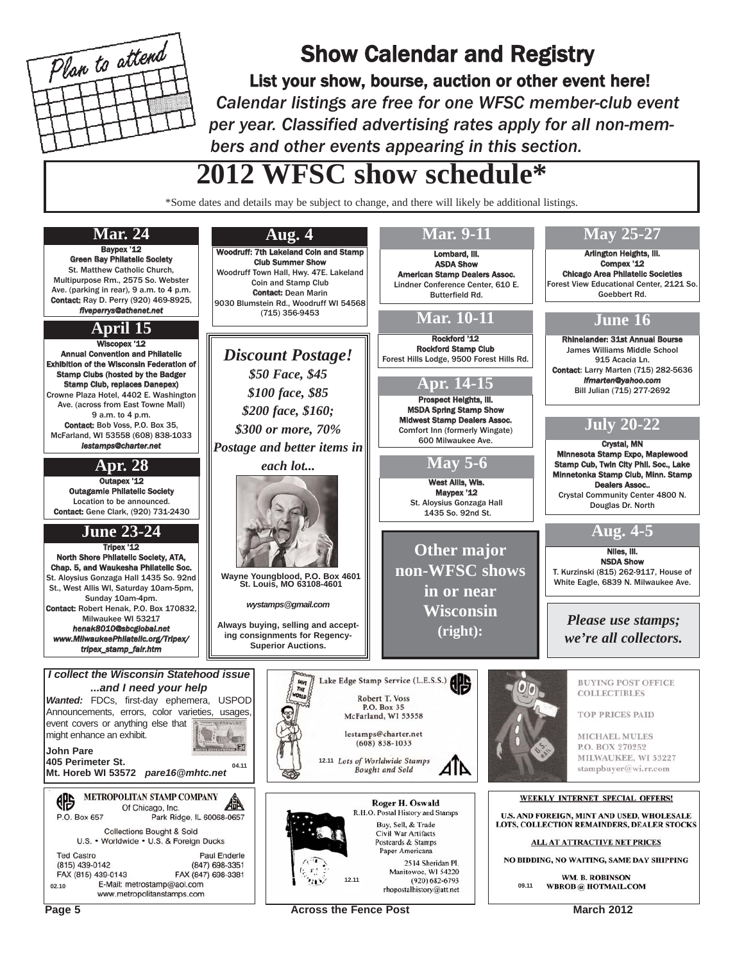

# Show Calendar and Registry

List your show, bourse, auction or other event here! *Calendar listings are free for one WFSC member-club event per year. Classified advertising rates apply for all non-members and other events appearing in this section.*

# **2012 WFSC show schedule\***

\*Some dates and details may be subject to change, and there will likely be additional listings.